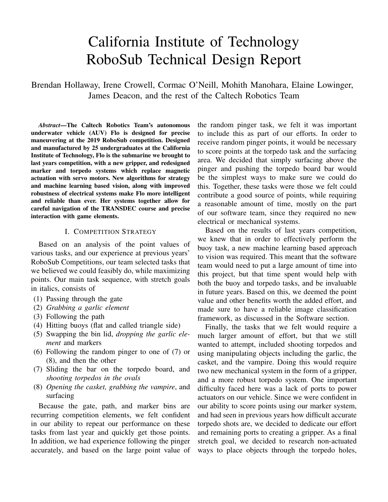# California Institute of Technology RoboSub Technical Design Report

Brendan Hollaway, Irene Crowell, Cormac O'Neill, Mohith Manohara, Elaine Lowinger, James Deacon, and the rest of the Caltech Robotics Team

*Abstract*—The Caltech Robotics Team's autonomous underwater vehicle (AUV) Flo is designed for precise maneuvering at the 2019 RoboSub competition. Designed and manufactured by 25 undergraduates at the California Institute of Technology, Flo is the submarine we brought to last years competition, with a new gripper, and redesigned marker and torpedo systems which replace magnetic actuation with servo motors. New algorithms for strategy and machine learning based vision, along with improved robustness of electrical systems make Flo more intelligent and reliable than ever. Her systems together allow for careful navigation of the TRANSDEC course and precise interaction with game elements.

#### I. COMPETITION STRATEGY

Based on an analysis of the point values of various tasks, and our experience at previous years' RoboSub Competitions, our team selected tasks that we believed we could feasibly do, while maximizing points. Our main task sequence, with stretch goals in italics, consists of

- (1) Passing through the gate
- (2) *Grabbing a garlic element*
- (3) Following the path
- (4) Hitting buoys (flat and called triangle side)
- (5) Swapping the bin lid, *dropping the garlic element* and markers
- (6) Following the random pinger to one of (7) or (8), and then the other
- (7) Sliding the bar on the torpedo board, and *shooting torpedos in the ovals*
- (8) *Opening the casket, grabbing the vampire*, and surfacing

Because the gate, path, and marker bins are recurring competition elements, we felt confident in our ability to repeat our performance on these tasks from last year and quickly get those points. In addition, we had experience following the pinger accurately, and based on the large point value of the random pinger task, we felt it was important to include this as part of our efforts. In order to receive random pinger points, it would be necessary to score points at the torpedo task and the surfacing area. We decided that simply surfacing above the pinger and pushing the torpedo board bar would be the simplest ways to make sure we could do this. Together, these tasks were those we felt could contribute a good source of points, while requiring a reasonable amount of time, mostly on the part of our software team, since they required no new electrical or mechanical systems.

Based on the results of last years competition, we knew that in order to effectively perform the buoy task, a new machine learning based approach to vision was required. This meant that the software team would need to put a large amount of time into this project, but that time spent would help with both the buoy and torpedo tasks, and be invaluable in future years. Based on this, we deemed the point value and other benefits worth the added effort, and made sure to have a reliable image classification framework, as discussed in the Software section.

Finally, the tasks that we felt would require a much larger amount of effort, but that we still wanted to attempt, included shooting torpedos and using manipulating objects including the garlic, the casket, and the vampire. Doing this would require two new mechanical system in the form of a gripper, and a more robust torpedo system. One important difficulty faced here was a lack of ports to power actuators on our vehicle. Since we were confident in our ability to score points using our marker system, and had seen in previous years how difficult accurate torpedo shots are, we decided to dedicate our effort and remaining ports to creating a gripper. As a final stretch goal, we decided to research non-actuated ways to place objects through the torpedo holes,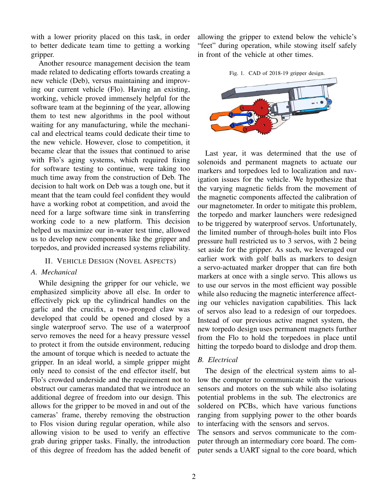with a lower priority placed on this task, in order to better dedicate team time to getting a working gripper.

Another resource management decision the team made related to dedicating efforts towards creating a new vehicle (Deb), versus maintaining and improving our current vehicle (Flo). Having an existing, working, vehicle proved immensely helpful for the software team at the beginning of the year, allowing them to test new algorithms in the pool without waiting for any manufacturing, while the mechanical and electrical teams could dedicate their time to the new vehicle. However, close to competition, it became clear that the issues that continued to arise with Flo's aging systems, which required fixing for software testing to continue, were taking too much time away from the construction of Deb. The decision to halt work on Deb was a tough one, but it meant that the team could feel confident they would have a working robot at competition, and avoid the need for a large software time sink in transferring working code to a new platform. This decision helped us maximize our in-water test time, allowed us to develop new components like the gripper and torpedos, and provided increased systems reliability.

#### II. VEHICLE DESIGN (NOVEL ASPECTS)

#### *A. Mechanical*

While designing the gripper for our vehicle, we emphasized simplicity above all else. In order to effectively pick up the cylindrical handles on the garlic and the crucifix, a two-pronged claw was developed that could be opened and closed by a single waterproof servo. The use of a waterproof servo removes the need for a heavy pressure vessel to protect it from the outside environment, reducing the amount of torque which is needed to actuate the gripper. In an ideal world, a simple gripper might only need to consist of the end effector itself, but Flo's crowded underside and the requirement not to obstruct our cameras mandated that we introduce an additional degree of freedom into our design. This allows for the gripper to be moved in and out of the cameras' frame, thereby removing the obstruction to Flos vision during regular operation, while also allowing vision to be used to verify an effective grab during gripper tasks. Finally, the introduction of this degree of freedom has the added benefit of allowing the gripper to extend below the vehicle's "feet" during operation, while stowing itself safely in front of the vehicle at other times.

Fig. 1. CAD of 2018-19 gripper design.



Last year, it was determined that the use of solenoids and permanent magnets to actuate our markers and torpedoes led to localization and navigation issues for the vehicle. We hypothesize that the varying magnetic fields from the movement of the magnetic components affected the calibration of our magnetometer. In order to mitigate this problem, the torpedo and marker launchers were redesigned to be triggered by waterproof servos. Unfortunately, the limited number of through-holes built into Flos pressure hull restricted us to 3 servos, with 2 being set aside for the gripper. As such, we leveraged our earlier work with golf balls as markers to design a servo-actuated marker dropper that can fire both markers at once with a single servo. This allows us to use our servos in the most efficient way possible while also reducing the magnetic interference affecting our vehicles navigation capabilities. This lack of servos also lead to a redesign of our torpedoes. Instead of our previous active magnet system, the new torpedo design uses permanent magnets further from the Flo to hold the torpedoes in place until hitting the torpedo board to dislodge and drop them.

### *B. Electrical*

The design of the electrical system aims to allow the computer to communicate with the various sensors and motors on the sub while also isolating potential problems in the sub. The electronics are soldered on PCBs, which have various functions ranging from supplying power to the other boards to interfacing with the sensors and servos.

The sensors and servos communicate to the computer through an intermediary core board. The computer sends a UART signal to the core board, which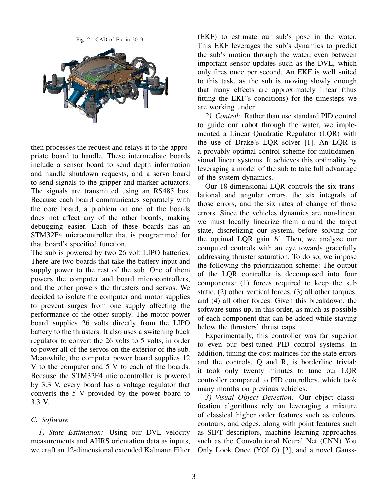Fig. 2. CAD of Flo in 2019.



then processes the request and relays it to the appropriate board to handle. These intermediate boards include a sensor board to send depth information and handle shutdown requests, and a servo board to send signals to the gripper and marker actuators. The signals are transmitted using an RS485 bus. Because each board communicates separately with the core board, a problem on one of the boards does not affect any of the other boards, making debugging easier. Each of these boards has an STM32F4 microcontroller that is programmed for that board's specified function.

The sub is powered by two 26 volt LIPO batteries. There are two boards that take the battery input and supply power to the rest of the sub. One of them powers the computer and board microcontrollers, and the other powers the thrusters and servos. We decided to isolate the computer and motor supplies to prevent surges from one supply affecting the performance of the other supply. The motor power board supplies 26 volts directly from the LIPO battery to the thrusters. It also uses a switching buck regulator to convert the 26 volts to 5 volts, in order to power all of the servos on the exterior of the sub. Meanwhile, the computer power board supplies 12 V to the computer and 5 V to each of the boards. Because the STM32F4 microcontroller is powered by 3.3 V, every board has a voltage regulator that converts the 5 V provided by the power board to 3.3 V.

#### *C. Software*

*1) State Estimation:* Using our DVL velocity measurements and AHRS orientation data as inputs, we craft an 12-dimensional extended Kalmann Filter

(EKF) to estimate our sub's pose in the water. This EKF leverages the sub's dynamics to predict the sub's motion through the water, even between important sensor updates such as the DVL, which only fires once per second. An EKF is well suited to this task, as the sub is moving slowly enough that many effects are approximately linear (thus fitting the EKF's conditions) for the timesteps we are working under.

*2) Control:* Rather than use standard PID control to guide our robot through the water, we implemented a Linear Quadratic Regulator (LQR) with the use of Drake's LQR solver [1]. An LQR is a provably-optimal control scheme for multidimensional linear systems. It achieves this optimality by leveraging a model of the sub to take full advantage of the system dynamics.

Our 18-dimensional LQR controls the six translational and angular errors, the six integrals of those errors, and the six rates of change of those errors. Since the vehicles dynamics are non-linear, we must locally linearize them around the target state, discretizing our system, before solving for the optimal LQR gain  $K$ . Then, we analyze our computed controls with an eye towards gracefully addressing thruster saturation. To do so, we impose the following the prioritization scheme: The output of the LQR controller is decomposed into four components: (1) forces required to keep the sub static, (2) other vertical forces, (3) all other torques, and (4) all other forces. Given this breakdown, the software sums up, in this order, as much as possible of each component that can be added while staying below the thrusters' thrust caps.

Experimentally, this controller was far superior to even our best-tuned PID control systems. In addition, tuning the cost matrices for the state errors and the controls, Q and R, is borderline trivial; it took only twenty minutes to tune our LQR controller compared to PID controllers, which took many months on previous vehicles.

*3) Visual Object Detection:* Our object classification algorithms rely on leveraging a mixture of classical higher order features such as colours, contours, and edges, along with point features such as SIFT descriptors, machine learning approaches such as the Convolutional Neural Net (CNN) You Only Look Once (YOLO) [2], and a novel Gauss-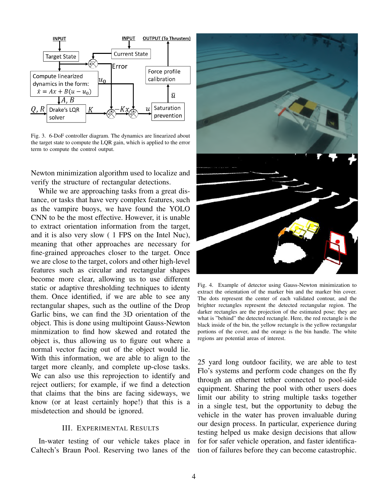

Fig. 3. 6-DoF controller diagram. The dynamics are linearized about the target state to compute the LQR gain, which is applied to the error term to compute the control output.

Newton minimization algorithm used to localize and verify the structure of rectangular detections.

While we are approaching tasks from a great distance, or tasks that have very complex features, such as the vampire buoys, we have found the YOLO CNN to be the most effective. However, it is unable to extract orientation information from the target, and it is also very slow ( 1 FPS on the Intel Nuc), meaning that other approaches are necessary for fine-grained approaches closer to the target. Once we are close to the target, colors and other high-level features such as circular and rectangular shapes become more clear, allowing us to use different static or adaptive thresholding techniques to identy them. Once identified, if we are able to see any rectangular shapes, such as the outline of the Drop Garlic bins, we can find the 3D orientation of the object. This is done using multipoint Gauss-Newton minmization to find how skewed and rotated the object is, thus allowing us to figure out where a normal vector facing out of the object would lie. With this information, we are able to align to the target more cleanly, and complete up-close tasks. We can also use this reprojection to identify and reject outliers; for example, if we find a detection that claims that the bins are facing sideways, we know (or at least certainly hope!) that this is a misdetection and should be ignored.

#### III. EXPERIMENTAL RESULTS

In-water testing of our vehicle takes place in Caltech's Braun Pool. Reserving two lanes of the



Fig. 4. Example of detector using Gauss-Newton minimization to extract the orientation of the marker bin and the marker bin cover. The dots represent the center of each validated contour, and the brighter rectangles represent the detected rectangular region. The darker rectangles are the projection of the estimated pose; they are what is "behind" the detected rectangle. Here, the red rectangle is the black inside of the bin, the yellow rectangle is the yellow rectangular portions of the cover, and the orange is the bin handle. The white regions are potential areas of interest.

25 yard long outdoor facility, we are able to test Flo's systems and perform code changes on the fly through an ethernet tether connected to pool-side equipment. Sharing the pool with other users does limit our ability to string multiple tasks together in a single test, but the opportunity to debug the vehicle in the water has proven invaluable during our design process. In particular, experience during testing helped us make design decisions that allow for for safer vehicle operation, and faster identification of failures before they can become catastrophic.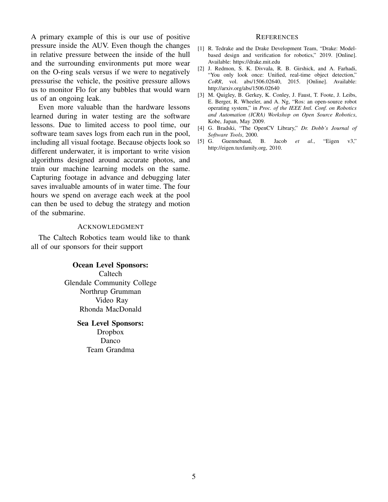A primary example of this is our use of positive pressure inside the AUV. Even though the changes in relative pressure between the inside of the hull and the surrounding environments put more wear on the O-ring seals versus if we were to negatively pressurise the vehicle, the positive pressure allows us to monitor Flo for any bubbles that would warn us of an ongoing leak.

Even more valuable than the hardware lessons learned during in water testing are the software lessons. Due to limited access to pool time, our software team saves logs from each run in the pool, including all visual footage. Because objects look so different underwater, it is important to write vision algorithms designed around accurate photos, and train our machine learning models on the same. Capturing footage in advance and debugging later saves invaluable amounts of in water time. The four hours we spend on average each week at the pool can then be used to debug the strategy and motion of the submarine.

#### ACKNOWLEDGMENT

The Caltech Robotics team would like to thank all of our sponsors for their support

#### Ocean Level Sponsors:

Caltech Glendale Community College Northrup Grumman Video Ray Rhonda MacDonald

#### Sea Level Sponsors: Dropbox

Danco Team Grandma

#### **REFERENCES**

- [1] R. Tedrake and the Drake Development Team, "Drake: Modelbased design and verification for robotics," 2019. [Online]. Available: https://drake.mit.edu
- [2] J. Redmon, S. K. Divvala, R. B. Girshick, and A. Farhadi, "You only look once: Unified, real-time object detection," *CoRR*, vol. abs/1506.02640, 2015. [Online]. Available: http://arxiv.org/abs/1506.02640
- [3] M. Quigley, B. Gerkey, K. Conley, J. Faust, T. Foote, J. Leibs, E. Berger, R. Wheeler, and A. Ng, "Ros: an open-source robot operating system," in *Proc. of the IEEE Intl. Conf. on Robotics and Automation (ICRA) Workshop on Open Source Robotics*, Kobe, Japan, May 2009.
- [4] G. Bradski, "The OpenCV Library," *Dr. Dobb's Journal of Software Tools*, 2000.
- [5] G. Guennebaud, B. Jacob *et al.*, "Eigen v3," http://eigen.tuxfamily.org, 2010.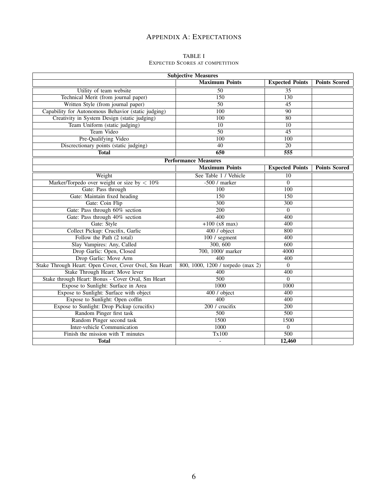## APPENDIX A: EXPECTATIONS

#### TABLE I EXPECTED SCORES AT COMPETITION

| <b>Subjective Measures</b>                            |                                   |                        |                      |  |  |  |  |
|-------------------------------------------------------|-----------------------------------|------------------------|----------------------|--|--|--|--|
|                                                       | <b>Maximum Points</b>             | <b>Expected Points</b> | <b>Points Scored</b> |  |  |  |  |
| Utility of team website                               | $\overline{50}$                   | $\overline{35}$        |                      |  |  |  |  |
| Technical Merit (from journal paper)                  | 150                               | 130                    |                      |  |  |  |  |
| Written Style (from journal paper)                    | $\overline{50}$                   | $\overline{45}$        |                      |  |  |  |  |
| Capability for Autonomous Behavior (static judging)   | 100                               | $\overline{90}$        |                      |  |  |  |  |
| Creativity in System Design (static judging)          | 100                               | $\overline{80}$        |                      |  |  |  |  |
| Team Uniform (static judging)                         | $\overline{10}$                   | $\overline{10}$        |                      |  |  |  |  |
| Team Video                                            | 50                                | 45                     |                      |  |  |  |  |
| Pre-Qualifying Video                                  | 100                               | 100                    |                      |  |  |  |  |
| Discrectionary points (static judging)                | 40                                | 20                     |                      |  |  |  |  |
| <b>Total</b>                                          | 650                               | $\overline{555}$       |                      |  |  |  |  |
|                                                       | <b>Performance Measures</b>       |                        |                      |  |  |  |  |
|                                                       | <b>Maximum Points</b>             | <b>Expected Points</b> | <b>Points Scored</b> |  |  |  |  |
| Weight                                                | See Table 1 / Vehicle             | $\overline{10}$        |                      |  |  |  |  |
| Marker/Torpedo over weight or size by $< 10\%$        | $-500/$ marker                    | $\overline{0}$         |                      |  |  |  |  |
| Gate: Pass through                                    | $\overline{100}$                  | 100                    |                      |  |  |  |  |
| Gate: Maintain fixed heading                          | 150                               | $\overline{150}$       |                      |  |  |  |  |
| Gate: Coin Flip                                       | 300                               | $\overline{300}$       |                      |  |  |  |  |
| Gate: Pass through 60% section                        | $\overline{200}$                  | $\overline{0}$         |                      |  |  |  |  |
| Gate: Pass through 40% section                        | 400                               | 400                    |                      |  |  |  |  |
| Gate: Style                                           | $+100(x8 \text{ max})$            | 400                    |                      |  |  |  |  |
| Collect Pickup: Crucifix, Garlic                      | 400 / object                      | 800                    |                      |  |  |  |  |
| Follow the Path (2 total)                             | 100 / segment                     | 400                    |                      |  |  |  |  |
| Slay Vampires: Any, Called                            | 300, 600                          | 600                    |                      |  |  |  |  |
| Drop Garlic: Open, Closed                             | 700, 1000/ marker                 | 4000                   |                      |  |  |  |  |
| Drop Garlic: Move Arm                                 | $\overline{400}$                  | 400                    |                      |  |  |  |  |
| Stake Through Heart: Open Cover, Cover Ovel, Sm Heart | 800, 1000, 1200 / torpedo (max 2) | $\overline{0}$         |                      |  |  |  |  |
| Stake Through Heart: Move lever                       | 400                               | 400                    |                      |  |  |  |  |
| Stake through Heart: Bonus - Cover Oval, Sm Heart     | 500                               | $\Omega$               |                      |  |  |  |  |
| Expose to Sunlight: Surface in Area                   | 1000<br>1000                      |                        |                      |  |  |  |  |
| Expose to Sunlight: Surface with object               | 400 / object                      | 400                    |                      |  |  |  |  |
| Expose to Sunlight: Open coffin                       | 400                               | 400                    |                      |  |  |  |  |
| Expose to Sunlight: Drop Pickup (crucifix)            | 200 / crucifix                    | $\overline{200}$       |                      |  |  |  |  |
| Random Pinger first task                              | $\overline{500}$                  | $\overline{500}$       |                      |  |  |  |  |
| Random Pinger second task                             | 1500                              | 1500                   |                      |  |  |  |  |
| <b>Inter-vehicle Communication</b>                    | 1000                              | $\overline{0}$         |                      |  |  |  |  |
| Finish the mission with T minutes                     | Tx100                             | 500                    |                      |  |  |  |  |
| <b>Total</b>                                          | $\overline{a}$                    | 12,460                 |                      |  |  |  |  |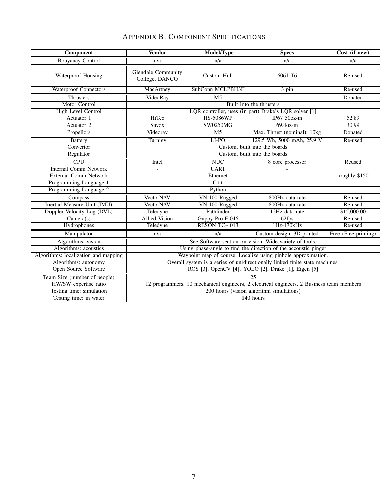| <b>APPENDIX B: COMPONENT SPECIFICATIONS</b> |  |
|---------------------------------------------|--|
|---------------------------------------------|--|

| Component                            | <b>Vendor</b>                                                                            | Model/Type           | <b>Specs</b>                | Cost (if new)        |  |
|--------------------------------------|------------------------------------------------------------------------------------------|----------------------|-----------------------------|----------------------|--|
| <b>Bouyancy Control</b>              | n/a                                                                                      | n/a                  | n/a                         | n/a                  |  |
| Waterproof Housing                   | <b>Glendale Community</b><br>College, DANCO                                              | <b>Custom Hull</b>   | 6061-T6                     | Re-used              |  |
| <b>Waterproof Connectors</b>         | MacArtney                                                                                | SubConn MCLPBH3F     | 3 pin                       | Re-used              |  |
| <b>Thrusters</b>                     | VideoRay                                                                                 | $\overline{M5}$      |                             | Donated              |  |
| Motor Control                        | Built into the thrusters                                                                 |                      |                             |                      |  |
| <b>High Level Control</b>            | LQR controller, uses (in part) Drake's LQR solver [1]                                    |                      |                             |                      |  |
| Actuator 1                           | <b>HiTec</b>                                                                             | <b>HS-5086WP</b>     | IP67 $50oz-in$              | 52.89                |  |
| Actuator 2                           | Savox                                                                                    | <b>SW0250MG</b>      | $69.40z$ -in                | 30.99                |  |
| Propellors                           | Videoray                                                                                 | $\overline{M5}$      | Max. Thrust (nominal): 10kg | Donated              |  |
| <b>Battery</b>                       | Turnigy                                                                                  | LI-PO                | 129.5 Wh, 5000 mAh, 25.9 V  | Re-used              |  |
| Convertor                            | Custom, built into the boards                                                            |                      |                             |                      |  |
| Regulator                            | Custom, built into the boards                                                            |                      |                             |                      |  |
| $\overline{\text{CPU}}$              | Intel                                                                                    | NUC                  | 8 core processor            | Reused               |  |
| <b>Internal Comm Network</b>         | $\overline{\phantom{0}}$                                                                 | <b>UART</b>          |                             |                      |  |
| <b>External Comm Network</b>         |                                                                                          | Ethernet             | $\overline{a}$              | roughly \$150        |  |
| Programming Language 1               | $\overline{a}$                                                                           | $C++$                | $\overline{a}$              |                      |  |
| Programming Language 2               |                                                                                          | Python               |                             |                      |  |
| Compass                              | <b>VectorNAV</b>                                                                         | VN-100 Rugged        | 800Hz data rate             | Re-used              |  |
| <b>Inertial Measure Unit (IMU)</b>   | <b>VectorNAV</b>                                                                         | VN-100 Rugged        | 800Hz data rate             | Re-used              |  |
| Doppler Velocity Log (DVL)           | Teledyne                                                                                 | Pathfinder           | 12Hz data rate              | \$15,000.00          |  |
| Camera(s)                            | <b>Allied Vision</b>                                                                     | Guppy Pro F-046      | 62fps                       | Re-used              |  |
| Hydrophones                          | Teledyne                                                                                 | <b>RESON TC-4013</b> | 1Hz-170kHz                  | Re-used              |  |
| Manipulator                          | n/a                                                                                      | n/a                  | Custom design, 3D printed   | Free (Free printing) |  |
| Algorithms: vision                   | See Software section on vision. Wide variety of tools.                                   |                      |                             |                      |  |
| Algorithms: acoustics                | Using phase-angle to find the direction of the accoustic pinger                          |                      |                             |                      |  |
| Algorithms: localization and mapping | Waypoint map of course. Localize using pinhole approximation.                            |                      |                             |                      |  |
| Algorithms: autonomy                 | Overall system is a series of unidirectionally linked finite state machines.             |                      |                             |                      |  |
| <b>Open Source Software</b>          | ROS [3], OpenCV [4], YOLO [2], Drake [1], Eigen [5]                                      |                      |                             |                      |  |
| Team Size (number of people)         | $\overline{25}$                                                                          |                      |                             |                      |  |
| HW/SW expertise ratio                | 12 programmers, 10 mechanical engineers, 2 electrical engineers, 2 Business team members |                      |                             |                      |  |
| Testing time: simulation             | 200 hours (vision algorithm simulations)                                                 |                      |                             |                      |  |
| Testing time: in water               | 140 hours                                                                                |                      |                             |                      |  |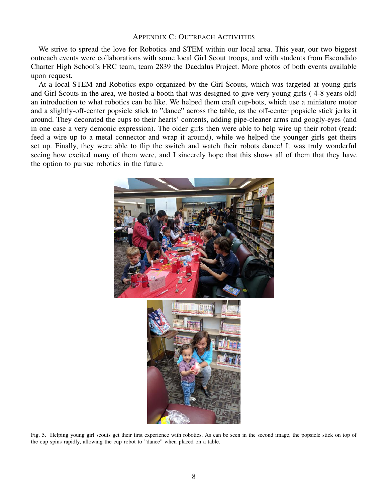#### APPENDIX C: OUTREACH ACTIVITIES

We strive to spread the love for Robotics and STEM within our local area. This year, our two biggest outreach events were collaborations with some local Girl Scout troops, and with students from Escondido Charter High School's FRC team, team 2839 the Daedalus Project. More photos of both events available upon request.

At a local STEM and Robotics expo organized by the Girl Scouts, which was targeted at young girls and Girl Scouts in the area, we hosted a booth that was designed to give very young girls ( 4-8 years old) an introduction to what robotics can be like. We helped them craft cup-bots, which use a miniature motor and a slightly-off-center popsicle stick to "dance" across the table, as the off-center popsicle stick jerks it around. They decorated the cups to their hearts' contents, adding pipe-cleaner arms and googly-eyes (and in one case a very demonic expression). The older girls then were able to help wire up their robot (read: feed a wire up to a metal connector and wrap it around), while we helped the younger girls get theirs set up. Finally, they were able to flip the switch and watch their robots dance! It was truly wonderful seeing how excited many of them were, and I sincerely hope that this shows all of them that they have the option to pursue robotics in the future.



Fig. 5. Helping young girl scouts get their first experience with robotics. As can be seen in the second image, the popsicle stick on top of the cup spins rapidly, allowing the cup robot to "dance" when placed on a table.